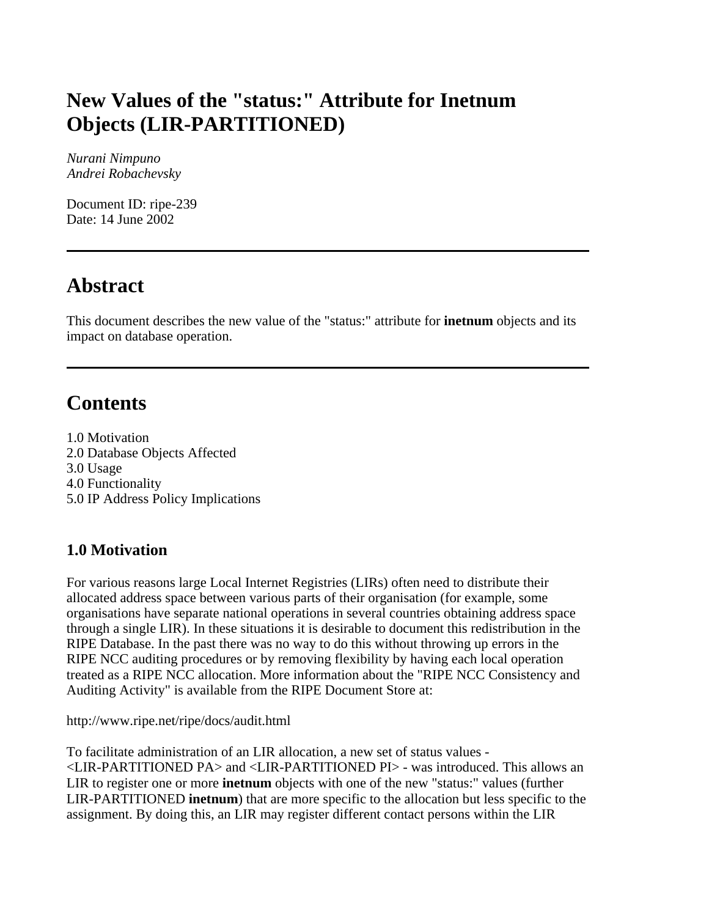# **New Values of the "status:" Attribute for Inetnum Objects (LIR-PARTITIONED)**

*Nurani Nimpuno Andrei Robachevsky*

Document ID: ripe-239 Date: 14 June 2002

## **Abstract**

This document describes the new value of the "status:" attribute for **inetnum** objects and its impact on database operation.

### **Contents**

1.0 Motivation 2.0 Database Objects Affected 3.0 Usage 4.0 Functionality 5.0 IP Address Policy Implications

#### **1.0 Motivation**

For various reasons large Local Internet Registries (LIRs) often need to distribute their allocated address space between various parts of their organisation (for example, some organisations have separate national operations in several countries obtaining address space through a single LIR). In these situations it is desirable to document this redistribution in the RIPE Database. In the past there was no way to do this without throwing up errors in the RIPE NCC auditing procedures or by removing flexibility by having each local operation treated as a RIPE NCC allocation. More information about the "RIPE NCC Consistency and Auditing Activity" is available from the RIPE Document Store at:

http://www.ripe.net/ripe/docs/audit.html

To facilitate administration of an LIR allocation, a new set of status values - <LIR-PARTITIONED PA> and <LIR-PARTITIONED PI> - was introduced. This allows an LIR to register one or more **inetnum** objects with one of the new "status:" values (further LIR-PARTITIONED **inetnum**) that are more specific to the allocation but less specific to the assignment. By doing this, an LIR may register different contact persons within the LIR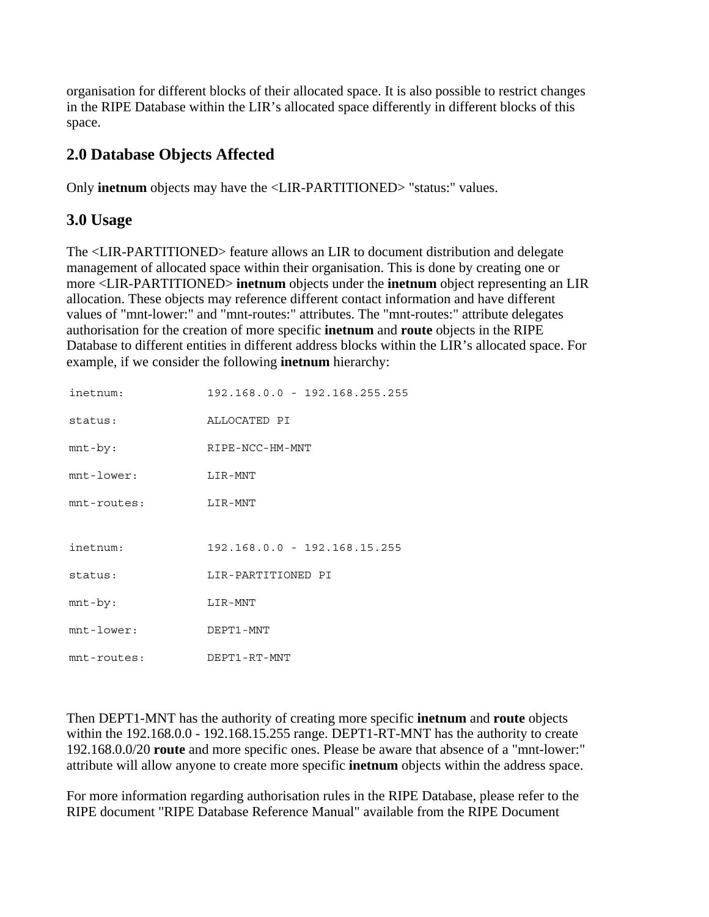organisation for different blocks of their allocated space. It is also possible to restrict changes in the RIPE Database within the LIR's allocated space differently in different blocks of this space.

#### **2.0 Database Objects Affected**

Only **inetnum** objects may have the <LIR-PARTITIONED> "status:" values.

#### **3.0 Usage**

The <LIR-PARTITIONED> feature allows an LIR to document distribution and delegate management of allocated space within their organisation. This is done by creating one or more <LIR-PARTITIONED> **inetnum** objects under the **inetnum** object representing an LIR allocation. These objects may reference different contact information and have different values of "mnt-lower:" and "mnt-routes:" attributes. The "mnt-routes:" attribute delegates authorisation for the creation of more specific **inetnum** and **route** objects in the RIPE Database to different entities in different address blocks within the LIR's allocated space. For example, if we consider the following **inetnum** hierarchy:

| inetnum:       | $192.168.0.0 - 192.168.255.255$ |
|----------------|---------------------------------|
| status:        | ALLOCATED PI                    |
| $mnt-by:$      | RIPE-NCC-HM-MNT                 |
| $mnt$ -lower:  | LIR-MNT                         |
| $mnt$ -routes: | LIR-MNT                         |
|                |                                 |
| inetnum:       | $192.168.0.0 - 192.168.15.255$  |
| status:        | LIR-PARTITIONED PI              |
| $mnt-by:$      | LIR-MNT                         |
| $mnt-lower:$   | DEPT1-MNT                       |
| mnt-routes:    | DEPT1-RT-MNT                    |

Then DEPT1-MNT has the authority of creating more specific **inetnum** and **route** objects within the 192.168.0.0 - 192.168.15.255 range. DEPT1-RT-MNT has the authority to create 192.168.0.0/20 **route** and more specific ones. Please be aware that absence of a "mnt-lower:" attribute will allow anyone to create more specific **inetnum** objects within the address space.

For more information regarding authorisation rules in the RIPE Database, please refer to the RIPE document "RIPE Database Reference Manual" available from the RIPE Document